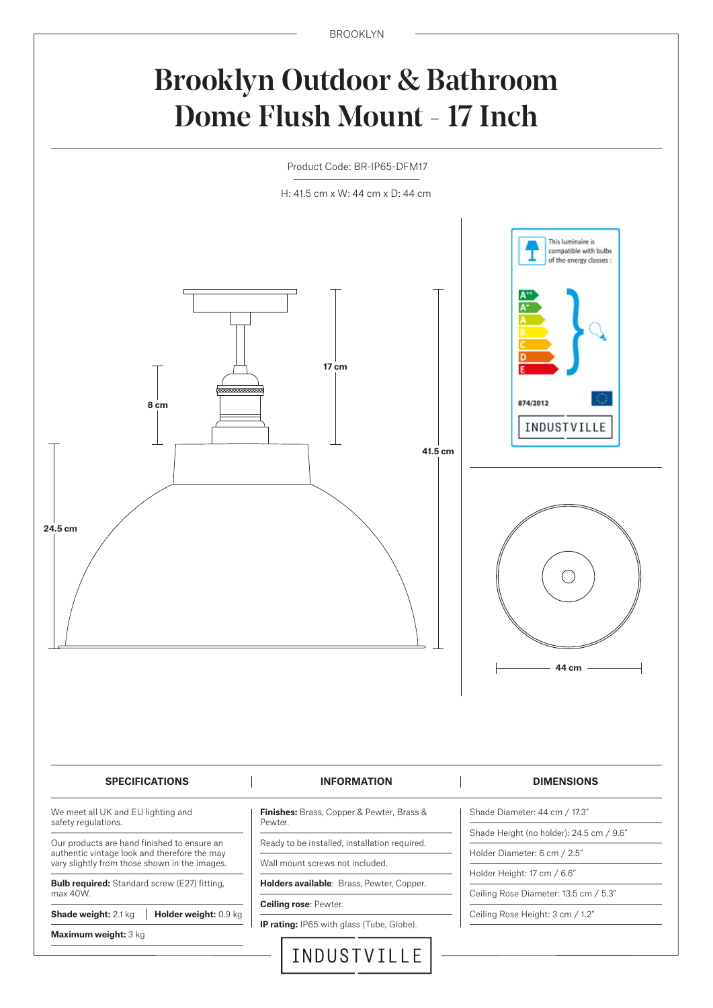### Brooklyn Outdoor & Bathroom Dome Flush Mount - 17 Inch

Product Code: BR-IP65-DFM17

H: 41.5 cm x W: 44 cm x D: 44 cm

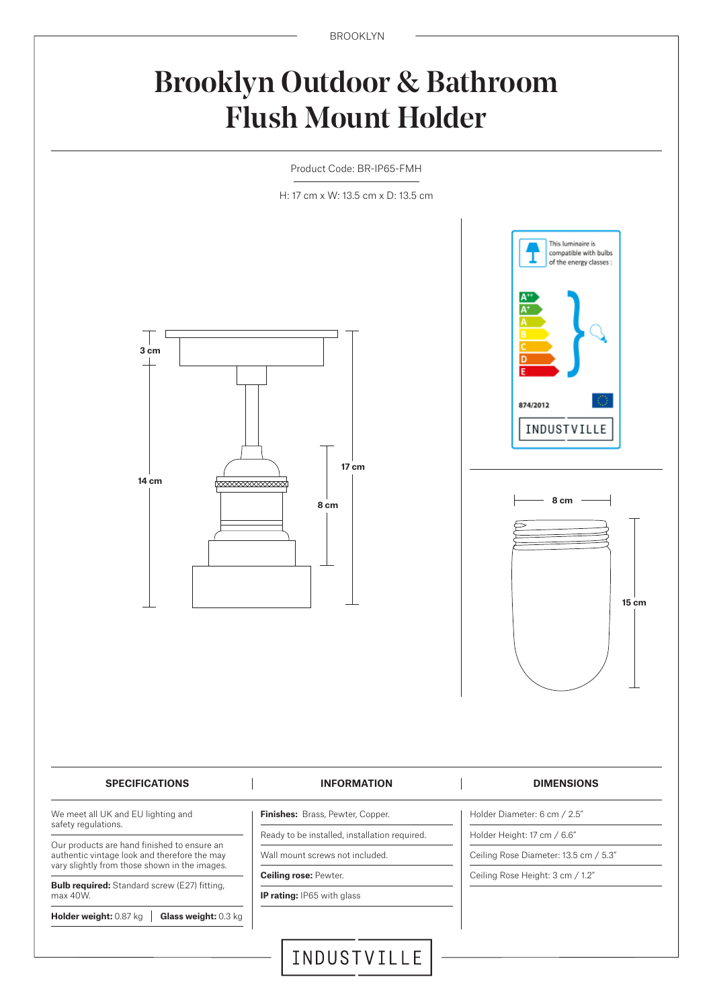BROOKLYN

## Brooklyn Outdoor & Bathroom Flush Mount Holder

Product Code: BR-IP65-FMH

H: 17 cm x W: 13.5 cm x D: 13.5 cm



# This luminaire is compatible with bulbs of the energy classes : 874/2012 INDUSTVILLE **8 cm15 cm** Holder Diameter: 6 cm / 2.5"

We meet all UK and EU lighting and safety regulations.

Our products are hand finished to ensure an authentic vintage look and therefore the may vary slightly from those shown in the images.

**Bulb required:** Standard screw (E27) fitting, max 40W.

**Holder weight:** 0.87 kg **Glass weight:** 0.3 kg

**Finishes:** Brass, Pewter, Copper. Ready to be installed, installation required.

Wall mount screws not included.

**Ceiling rose:** Pewter.

**IP rating:** IP65 with glass

Holder Height: 17 cm / 6.6"

Ceiling Rose Diameter: 13.5 cm / 5.3"

Ceiling Rose Height: 3 cm / 1.2"

INDUSTVILLE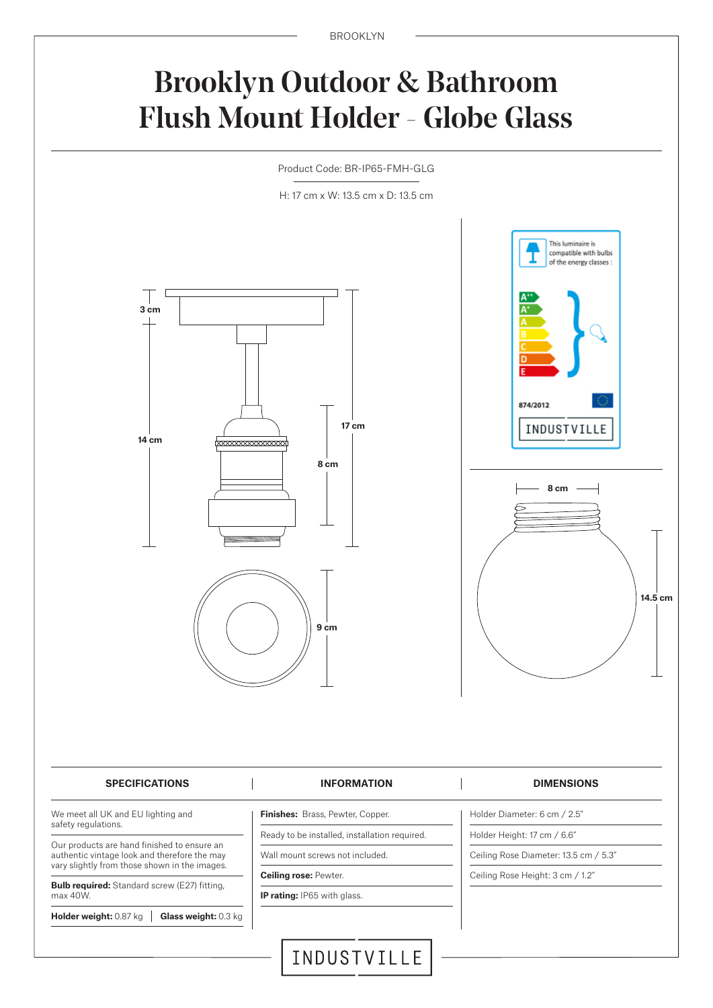BROOKLYN

### Brooklyn Outdoor & Bathroom Flush Mount Holder - Globe Glass

Product Code: BR-IP65-FMH-GLG

H: 17 cm x W: 13.5 cm x D: 13.5 cm



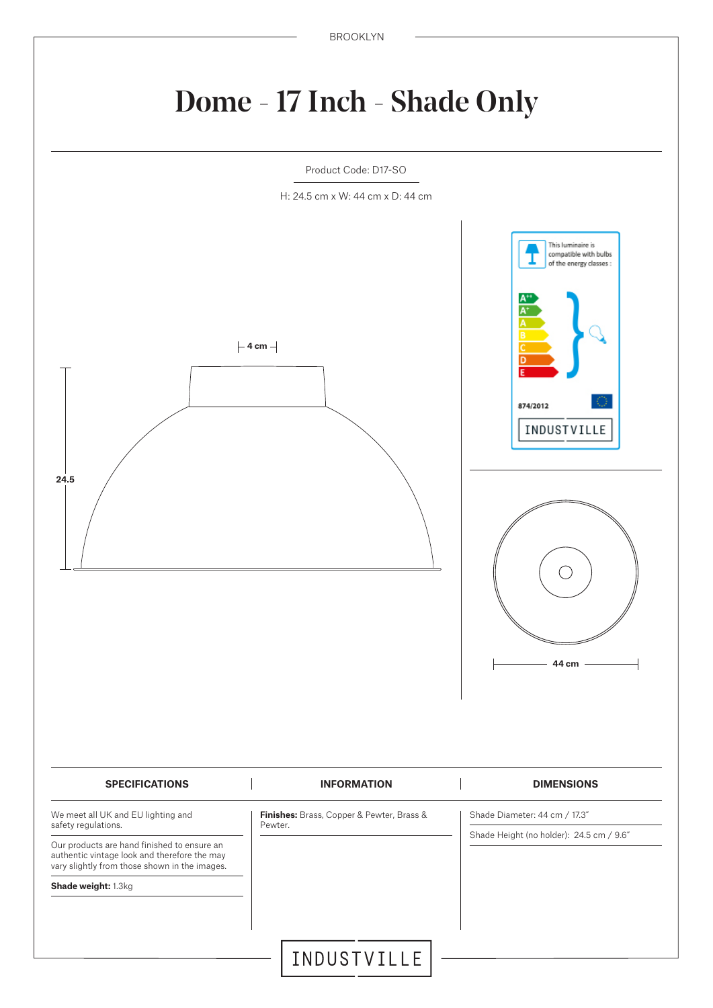# Dome - 17 Inch - Shade Only

Product Code: D17-SO